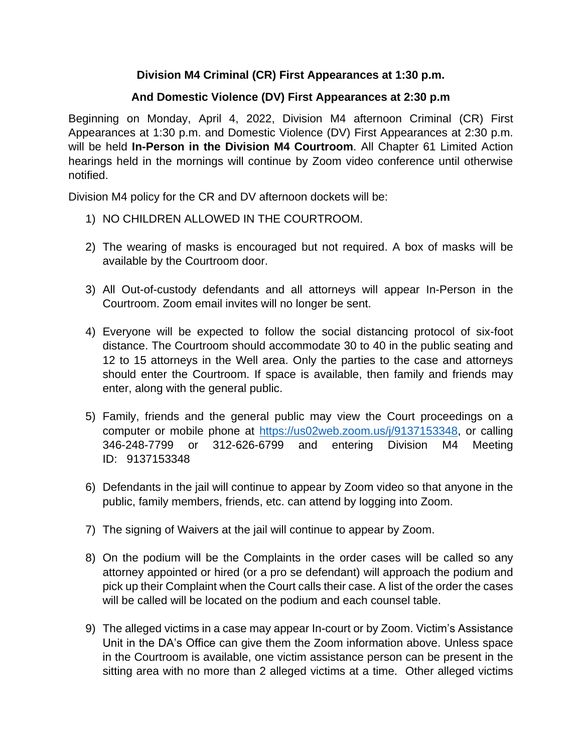## **Division M4 Criminal (CR) First Appearances at 1:30 p.m.**

## **And Domestic Violence (DV) First Appearances at 2:30 p.m**

Beginning on Monday, April 4, 2022, Division M4 afternoon Criminal (CR) First Appearances at 1:30 p.m. and Domestic Violence (DV) First Appearances at 2:30 p.m. will be held **In-Person in the Division M4 Courtroom**. All Chapter 61 Limited Action hearings held in the mornings will continue by Zoom video conference until otherwise notified.

Division M4 policy for the CR and DV afternoon dockets will be:

- 1) NO CHILDREN ALLOWED IN THE COURTROOM.
- 2) The wearing of masks is encouraged but not required. A box of masks will be available by the Courtroom door.
- 3) All Out-of-custody defendants and all attorneys will appear In-Person in the Courtroom. Zoom email invites will no longer be sent.
- 4) Everyone will be expected to follow the social distancing protocol of six-foot distance. The Courtroom should accommodate 30 to 40 in the public seating and 12 to 15 attorneys in the Well area. Only the parties to the case and attorneys should enter the Courtroom. If space is available, then family and friends may enter, along with the general public.
- 5) Family, friends and the general public may view the Court proceedings on a computer or mobile phone at [https://us02web.zoom.us/j/9137153348,](https://us02web.zoom.us/j/9137153348) or calling 346-248-7799 or 312-626-6799 and entering Division M4 Meeting ID: 9137153348
- 6) Defendants in the jail will continue to appear by Zoom video so that anyone in the public, family members, friends, etc. can attend by logging into Zoom.
- 7) The signing of Waivers at the jail will continue to appear by Zoom.
- 8) On the podium will be the Complaints in the order cases will be called so any attorney appointed or hired (or a pro se defendant) will approach the podium and pick up their Complaint when the Court calls their case. A list of the order the cases will be called will be located on the podium and each counsel table.
- 9) The alleged victims in a case may appear In-court or by Zoom. Victim's Assistance Unit in the DA's Office can give them the Zoom information above. Unless space in the Courtroom is available, one victim assistance person can be present in the sitting area with no more than 2 alleged victims at a time. Other alleged victims